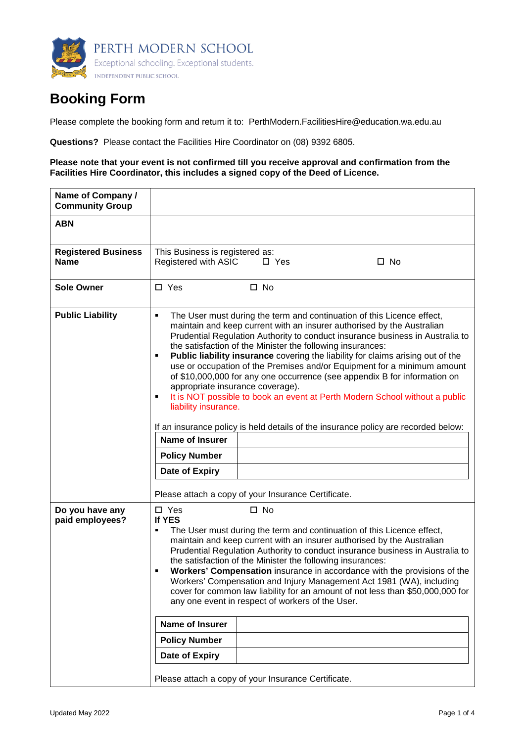

# **Booking Form**

Please complete the booking form and return it to: PerthModern.FacilitiesHire@education.wa.edu.au

**Questions?** Please contact the Facilities Hire Coordinator on (08) 9392 6805.

### **Please note that your event is not confirmed till you receive approval and confirmation from the Facilities Hire Coordinator, this includes a signed copy of the Deed of Licence.**

| Name of Company /<br><b>Community Group</b> |                                                                                                                                                                                                                                                                                                                                                                                                                                                                                                                                                                                                                                                                                                                                                                                                                                                                                                                          |  |  |
|---------------------------------------------|--------------------------------------------------------------------------------------------------------------------------------------------------------------------------------------------------------------------------------------------------------------------------------------------------------------------------------------------------------------------------------------------------------------------------------------------------------------------------------------------------------------------------------------------------------------------------------------------------------------------------------------------------------------------------------------------------------------------------------------------------------------------------------------------------------------------------------------------------------------------------------------------------------------------------|--|--|
| <b>ABN</b>                                  |                                                                                                                                                                                                                                                                                                                                                                                                                                                                                                                                                                                                                                                                                                                                                                                                                                                                                                                          |  |  |
| <b>Registered Business</b><br><b>Name</b>   | This Business is registered as:<br>Registered with ASIC<br>$\square$ No<br>$\Box$ Yes                                                                                                                                                                                                                                                                                                                                                                                                                                                                                                                                                                                                                                                                                                                                                                                                                                    |  |  |
| <b>Sole Owner</b>                           | $\square$ Yes<br>$\square$ No                                                                                                                                                                                                                                                                                                                                                                                                                                                                                                                                                                                                                                                                                                                                                                                                                                                                                            |  |  |
| <b>Public Liability</b>                     | The User must during the term and continuation of this Licence effect,<br>$\blacksquare$<br>maintain and keep current with an insurer authorised by the Australian<br>Prudential Regulation Authority to conduct insurance business in Australia to<br>the satisfaction of the Minister the following insurances:<br>Public liability insurance covering the liability for claims arising out of the<br>use or occupation of the Premises and/or Equipment for a minimum amount<br>of \$10,000,000 for any one occurrence (see appendix B for information on<br>appropriate insurance coverage).<br>It is NOT possible to book an event at Perth Modern School without a public<br>liability insurance.<br>If an insurance policy is held details of the insurance policy are recorded below:<br><b>Name of Insurer</b><br><b>Policy Number</b><br>Date of Expiry<br>Please attach a copy of your Insurance Certificate. |  |  |
| Do you have any<br>paid employees?          | $\square$ Yes<br>$\square$ No<br>If YES<br>The User must during the term and continuation of this Licence effect,<br>maintain and keep current with an insurer authorised by the Australian<br>Prudential Regulation Authority to conduct insurance business in Australia to<br>the satisfaction of the Minister the following insurances:<br>Workers' Compensation insurance in accordance with the provisions of the<br>Workers' Compensation and Injury Management Act 1981 (WA), including<br>cover for common law liability for an amount of not less than \$50,000,000 for<br>any one event in respect of workers of the User.<br>Name of Insurer<br><b>Policy Number</b><br>Date of Expiry<br>Please attach a copy of your Insurance Certificate.                                                                                                                                                                 |  |  |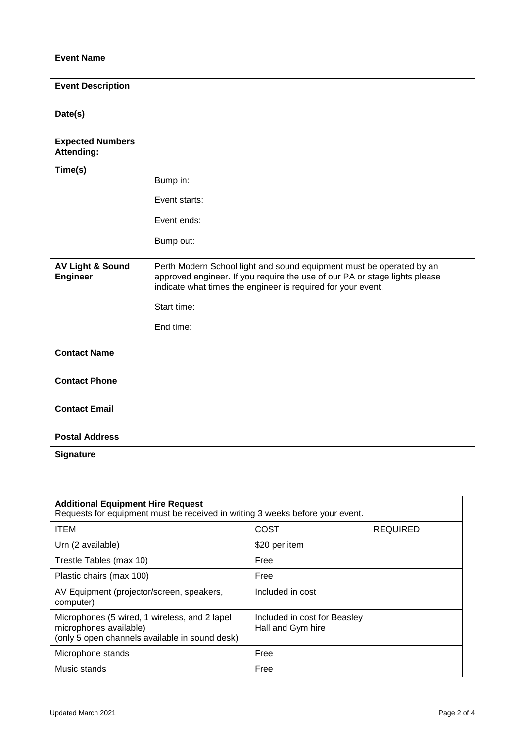| <b>Event Name</b>                              |                                                                                                                                                                                                                                                |
|------------------------------------------------|------------------------------------------------------------------------------------------------------------------------------------------------------------------------------------------------------------------------------------------------|
| <b>Event Description</b>                       |                                                                                                                                                                                                                                                |
| Date(s)                                        |                                                                                                                                                                                                                                                |
| <b>Expected Numbers</b><br><b>Attending:</b>   |                                                                                                                                                                                                                                                |
| Time(s)                                        | Bump in:<br>Event starts:<br>Event ends:<br>Bump out:                                                                                                                                                                                          |
| <b>AV Light &amp; Sound</b><br><b>Engineer</b> | Perth Modern School light and sound equipment must be operated by an<br>approved engineer. If you require the use of our PA or stage lights please<br>indicate what times the engineer is required for your event.<br>Start time:<br>End time: |
| <b>Contact Name</b>                            |                                                                                                                                                                                                                                                |
| <b>Contact Phone</b>                           |                                                                                                                                                                                                                                                |
| <b>Contact Email</b>                           |                                                                                                                                                                                                                                                |
| <b>Postal Address</b>                          |                                                                                                                                                                                                                                                |
| <b>Signature</b>                               |                                                                                                                                                                                                                                                |

| <b>Additional Equipment Hire Request</b><br>Requests for equipment must be received in writing 3 weeks before your event. |                                                   |                 |  |  |  |
|---------------------------------------------------------------------------------------------------------------------------|---------------------------------------------------|-----------------|--|--|--|
| <b>ITEM</b>                                                                                                               | <b>COST</b>                                       | <b>REQUIRED</b> |  |  |  |
| Urn (2 available)                                                                                                         | \$20 per item                                     |                 |  |  |  |
| Trestle Tables (max 10)                                                                                                   | Free                                              |                 |  |  |  |
| Plastic chairs (max 100)                                                                                                  | Free                                              |                 |  |  |  |
| AV Equipment (projector/screen, speakers,<br>computer)                                                                    | Included in cost                                  |                 |  |  |  |
| Microphones (5 wired, 1 wireless, and 2 lapel<br>microphones available)<br>(only 5 open channels available in sound desk) | Included in cost for Beasley<br>Hall and Gym hire |                 |  |  |  |
| Microphone stands                                                                                                         | Free                                              |                 |  |  |  |
| Music stands                                                                                                              | Free                                              |                 |  |  |  |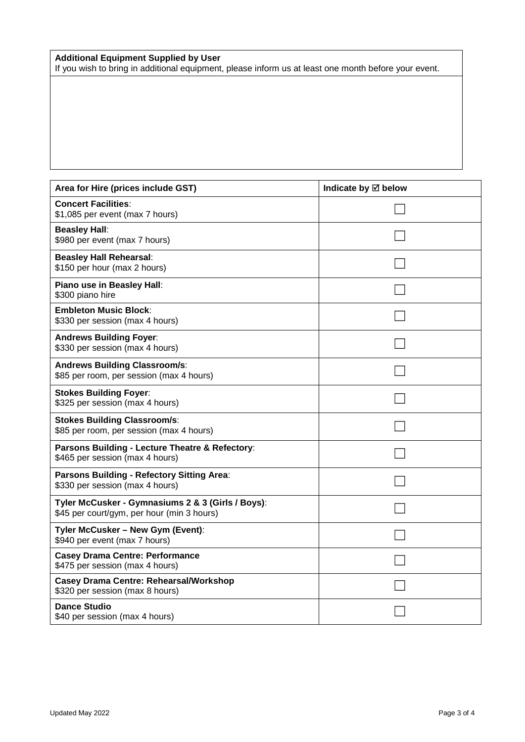### **Additional Equipment Supplied by User**

If you wish to bring in additional equipment, please inform us at least one month before your event.

| Area for Hire (prices include GST)                                                              | Indicate by ⊠ below |
|-------------------------------------------------------------------------------------------------|---------------------|
| <b>Concert Facilities:</b><br>\$1,085 per event (max 7 hours)                                   |                     |
| <b>Beasley Hall:</b><br>\$980 per event (max 7 hours)                                           |                     |
| <b>Beasley Hall Rehearsal:</b><br>\$150 per hour (max 2 hours)                                  |                     |
| Piano use in Beasley Hall:<br>\$300 piano hire                                                  |                     |
| <b>Embleton Music Block:</b><br>\$330 per session (max 4 hours)                                 |                     |
| <b>Andrews Building Foyer:</b><br>\$330 per session (max 4 hours)                               |                     |
| <b>Andrews Building Classroom/s:</b><br>\$85 per room, per session (max 4 hours)                |                     |
| <b>Stokes Building Foyer:</b><br>\$325 per session (max 4 hours)                                |                     |
| <b>Stokes Building Classroom/s:</b><br>\$85 per room, per session (max 4 hours)                 |                     |
| Parsons Building - Lecture Theatre & Refectory:<br>\$465 per session (max 4 hours)              |                     |
| Parsons Building - Refectory Sitting Area:<br>\$330 per session (max 4 hours)                   |                     |
| Tyler McCusker - Gymnasiums 2 & 3 (Girls / Boys):<br>\$45 per court/gym, per hour (min 3 hours) |                     |
| Tyler McCusker - New Gym (Event):<br>\$940 per event (max 7 hours)                              |                     |
| <b>Casey Drama Centre: Performance</b><br>\$475 per session (max 4 hours)                       |                     |
| <b>Casey Drama Centre: Rehearsal/Workshop</b><br>\$320 per session (max 8 hours)                |                     |
| <b>Dance Studio</b><br>\$40 per session (max 4 hours)                                           |                     |